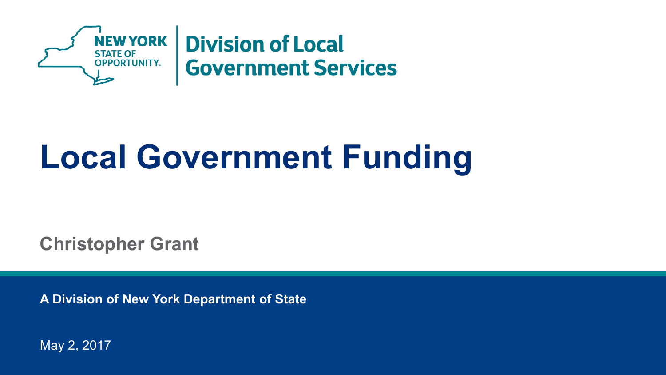

# **Local Government Funding**

**Christopher Grant** 

**A Division of New York Department of State** 

May 2, 2017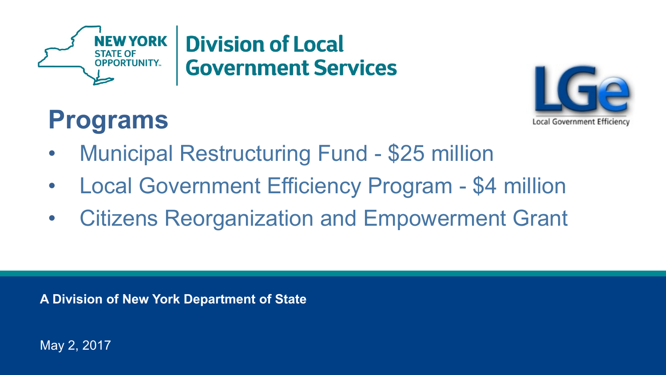



#### **Programs**

- Municipal Restructuring Fund \$25 million
- Local Government Efficiency Program \$4 million
- Citizens Reorganization and Empowerment Grant

**A Division of New York Department of State** 

May 2, 2017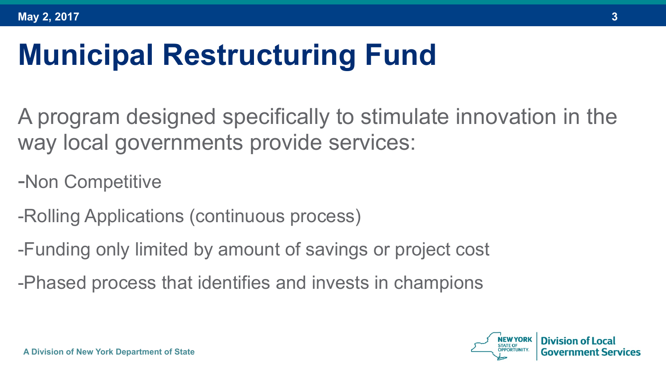## **Municipal Restructuring Fund**

A program designed specifically to stimulate innovation in the way local governments provide services:

-Non Competitive

-Rolling Applications (continuous process)

-Funding only limited by amount of savings or project cost

-Phased process that identifies and invests in champions

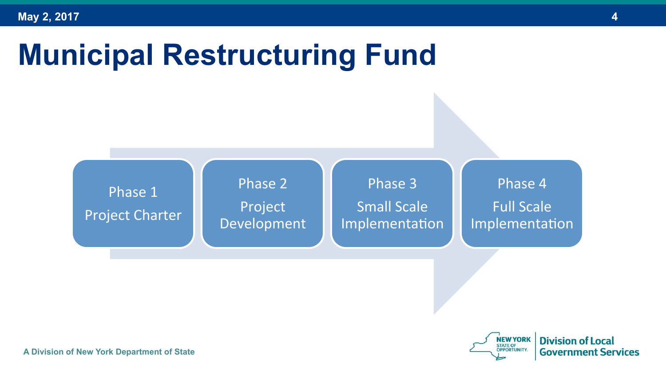### **Municipal Restructuring Fund**





**A Division of New York Department of State**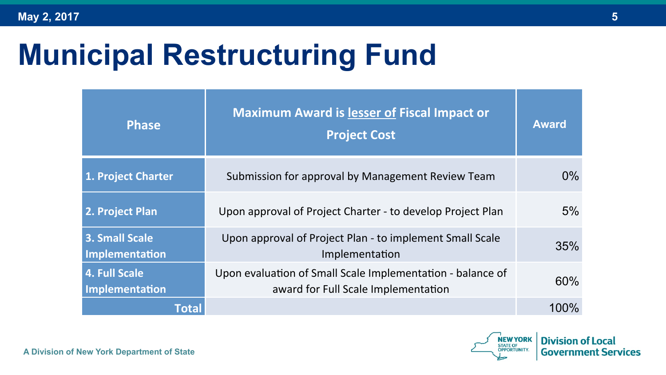## **Municipal Restructuring Fund**

| <b>Phase</b>                           | <b>Maximum Award is lesser of Fiscal Impact or</b><br><b>Project Cost</b>                         | <b>Award</b> |
|----------------------------------------|---------------------------------------------------------------------------------------------------|--------------|
| 1. Project Charter                     | Submission for approval by Management Review Team                                                 | $0\%$        |
| 2. Project Plan                        | Upon approval of Project Charter - to develop Project Plan                                        | 5%           |
| 3. Small Scale<br>Implementation       | Upon approval of Project Plan - to implement Small Scale<br>Implementation                        | 35%          |
| <b>4. Full Scale</b><br>Implementation | Upon evaluation of Small Scale Implementation - balance of<br>award for Full Scale Implementation | 60%          |
| Total                                  |                                                                                                   | 100%         |



**A Division of New York Department of State**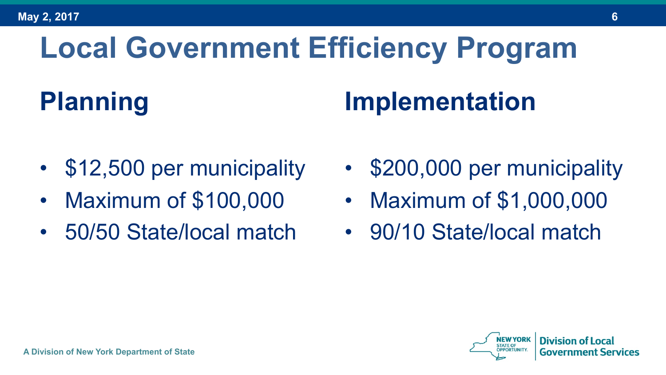# **Local Government Efficiency Program**

#### **Planning**

#### **Implementation**

- \$12,500 per municipality
- Maximum of \$100,000
- 50/50 State/local match
- \$200,000 per municipality
- Maximum of \$1,000,000
- 90/10 State/local match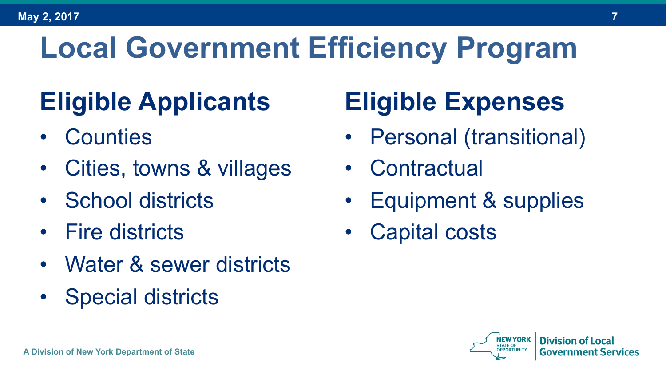## **Local Government Efficiency Program**

#### **Eligible Applicants**

- Counties
- Cities, towns & villages
- School districts
- Fire districts
- Water & sewer districts
- Special districts

#### **Eligible Expenses**

- Personal (transitional)
- **Contractual**
- Equipment & supplies
- Capital costs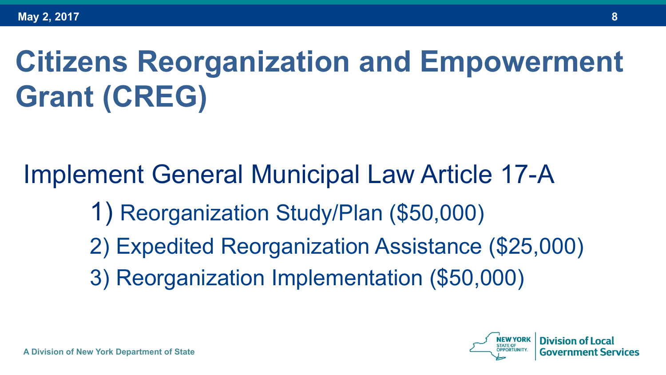# **Citizens Reorganization and Empowerment Grant (CREG)**

#### Implement General Municipal Law Article 17-A

- 1) Reorganization Study/Plan (\$50,000)
- 2) Expedited Reorganization Assistance (\$25,000)
- 3) Reorganization Implementation (\$50,000)

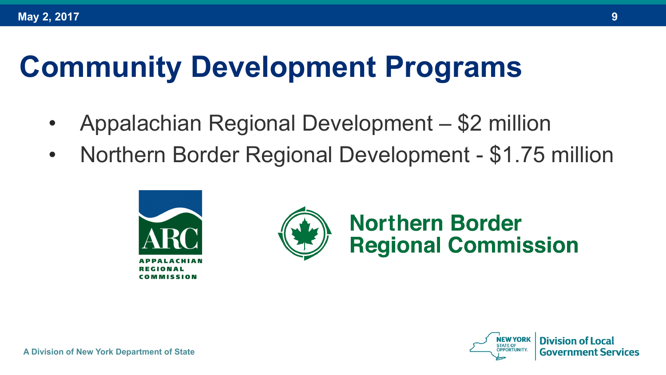#### **Community Development Programs**

- Appalachian Regional Development \$2 million
- Northern Border Regional Development \$1.75 million





#### **Northern Border Regional Commission**